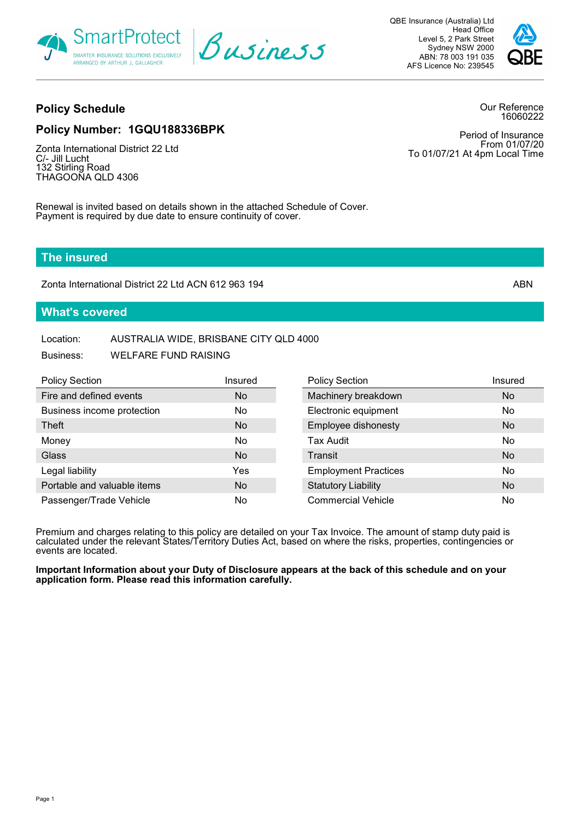

QBE Insurance (Australia) Ltd Head Office Level 5, 2 Park Street Sydney NSW 2000 ABN: 78 003 191 035 AFS Licence No: 239545



# **Policy Schedule**

Our Reference 16060222

# **Policy Number: 1GQU188336BPK**

Zonta International District 22 Ltd C/- Jill Lucht 132 Stirling Road THAGOONA QLD 4306

Period of Insurance From 01/07/20 To 01/07/21 At 4pm Local Time

Renewal is invited based on details shown in the attached Schedule of Cover. Payment is required by due date to ensure continuity of cover.

## **The insured**

Zonta International District 22 Ltd ACN 612 963 194 ABN

## **What's covered**

# Location: AUSTRALIA WIDE, BRISBANE CITY QLD 4000

| Business: | <b>WELFARE FUND RAISING</b> |
|-----------|-----------------------------|
|           |                             |

| <b>Policy Section</b>       | Insured   | <b>Policy Section</b>       | Insured        |
|-----------------------------|-----------|-----------------------------|----------------|
| Fire and defined events     | No.       | Machinery breakdown         | No.            |
| Business income protection  | No.       | Electronic equipment        | No.            |
| Theft                       | No        | Employee dishonesty         | No.            |
| Money                       | No        | <b>Tax Audit</b>            | No.            |
| Glass                       | <b>No</b> | Transit                     | <b>No</b>      |
| Legal liability             | Yes       | <b>Employment Practices</b> | N <sub>o</sub> |
| Portable and valuable items | No.       | <b>Statutory Liability</b>  | No.            |
| Passenger/Trade Vehicle     | No        | <b>Commercial Vehicle</b>   | No.            |

Premium and charges relating to this policy are detailed on your Tax Invoice. The amount of stamp duty paid is calculated under the relevant States/Territory Duties Act, based on where the risks, properties, contingencies or events are located.

**Important Information about your Duty of Disclosure appears at the back of this schedule and on your application form. Please read this information carefully.**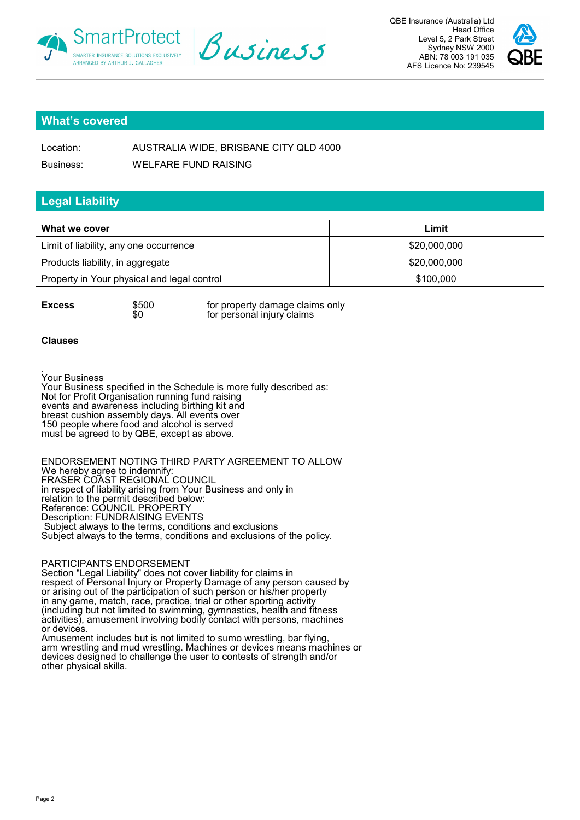





## **What's covered**

| Location: | AUSTRALIA WIDE, BRISBANE CITY QLD 4000 |
|-----------|----------------------------------------|
| Business: | <b>WELFARE FUND RAISING</b>            |

## **Legal Liability**

| What we cover                               | Limit        |
|---------------------------------------------|--------------|
| Limit of liability, any one occurrence      | \$20,000,000 |
| Products liability, in aggregate            | \$20,000,000 |
| Property in Your physical and legal control | \$100,000    |

**Excess**  $$500$  for property damage claims only  $$0$  for personal injury claims for personal injury claims

#### **Clauses**

. Your Business Your Business specified in the Schedule is more fully described as: Not for Profit Organisation running fund raising events and awareness including birthing kit and breast cushion assembly days. All events over 150 people where food and alcohol is served must be agreed to by QBE, except as above.

ENDORSEMENT NOTING THIRD PARTY AGREEMENT TO ALLOW We hereby agree to indemnify: FRASER COAST REGIONAL COUNCIL in respect of liability arising from Your Business and only in relation to the permit described below: Reference: COUNCIL PROPERTY Description: FUNDRAISING EVENTS Subject always to the terms, conditions and exclusions Subject always to the terms, conditions and exclusions of the policy.

#### PARTICIPANTS ENDORSEMENT

Section "Legal Liability" does not cover liability for claims in respect of Personal Injury or Property Damage of any person caused by or arising out of the participation of such person or his/her property in any game, match, race, practice, trial or other sporting activity (including but not limited to swimming, gymnastics, health and fitness activities), amusement involving bodily contact with persons, machines or devices.

Amusement includes but is not limited to sumo wrestling, bar flying, arm wrestling and mud wrestling. Machines or devices means machines or devices designed to challenge the user to contests of strength and/or other physical skills.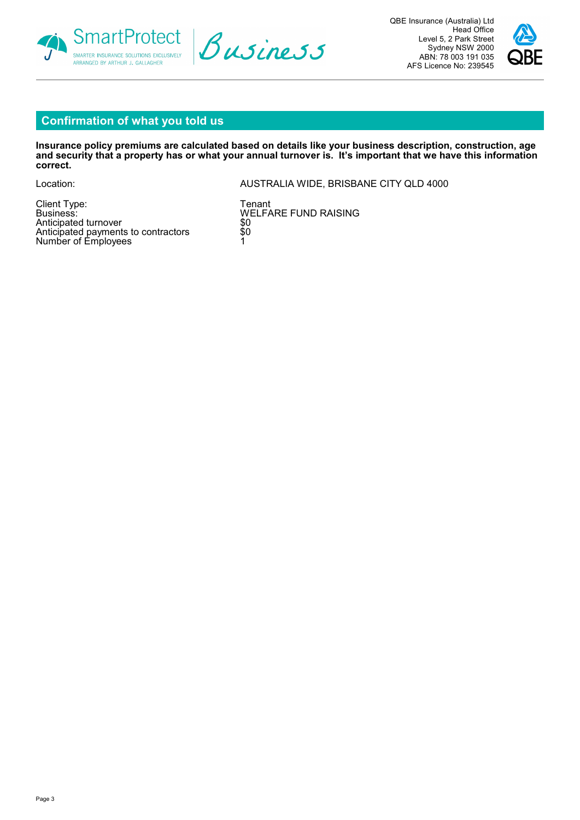





# **Confirmation of what you told us**

**Insurance policy premiums are calculated based on details like your business description, construction, age and security that a property has or what your annual turnover is. It's important that we have this information correct.**

Location: AUSTRALIA WIDE, BRISBANE CITY QLD 4000

Client Type: Tenant<br>Business: Tenant Rusiness: Tenant Rusiness: Tenant Rusiness: Tenant Rusiness: Tenant Rusiness<br>Tenant Rusiness: Tenant Rusiness: Tenant Rusiness: Tenant Rusiness: Tenant Rusiness: Tenant Rusiness: Tenant Anticipated turnover Anticipated payments to contractors \$0 Number of Employees and the state of  $\sim$  1

WELFARE FUND RAISING<br>\$0<br>\$0<br>1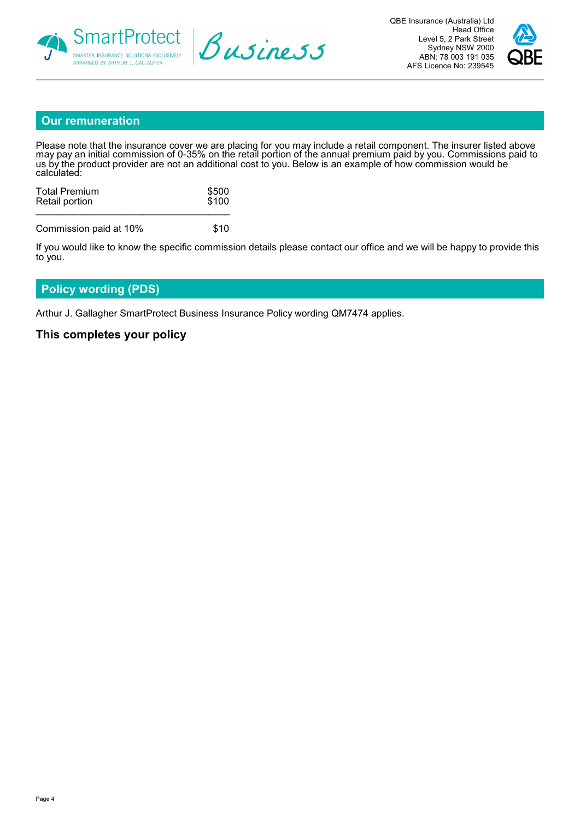





## **Our remuneration**

Please note that the insurance cover we are placing for you may include a retail component. The insurer listed above may pay an initial commission of 0-35% on the retail portion of the annual premium paid by you. Commissions paid to us by the product provider are not an additional cost to you. Below is an example of how commission would be calculated:

| <b>Total Premium</b>   | \$500 |
|------------------------|-------|
| Retail portion         | \$100 |
| Commission paid at 10% | \$10  |

If you would like to know the specific commission details please contact our office and we will be happy to provide this to you.

## **Policy wording (PDS)**

Arthur J. Gallagher SmartProtect Business Insurance Policy wording QM7474 applies.

## **This completes your policy**